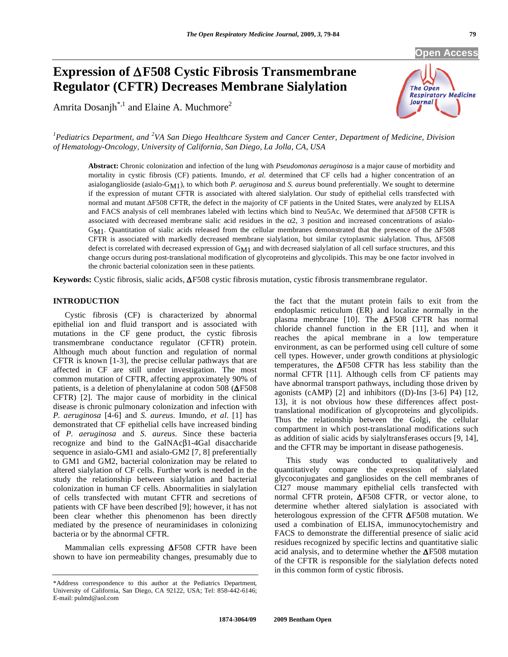# **Expression of F508 Cystic Fibrosis Transmembrane Regulator (CFTR) Decreases Membrane Sialylation**

Amrita Dosanjh<sup>\*,1</sup> and Elaine A. Muchmore<sup>2</sup>



<sup>1</sup> Pediatrics Department, and <sup>2</sup>VA San Diego Healthcare System and Cancer Center, Department of Medicine, Division *of Hematology-Oncology, University of California, San Diego, La Jolla, CA, USA* 

**Abstract:** Chronic colonization and infection of the lung with *Pseudomonas aeruginosa* is a major cause of morbidity and mortality in cystic fibrosis (CF) patients. Imundo, *et al*. determined that CF cells had a higher concentration of an asialoganglioside (asialo-GM1), to which both *P. aeruginosa* and *S. aureus* bound preferentially. We sought to determine if the expression of mutant CFTR is associated with altered sialylation. Our study of epithelial cells transfected with normal and mutant  $\Delta$ F508 CFTR, the defect in the majority of CF patients in the United States, were analyzed by ELISA and FACS analysis of cell membranes labeled with lectins which bind to Neu5Ac. We determined that  $\Delta$ F508 CFTR is associated with decreased membrane sialic acid residues in the  $\alpha$ 2, 3 position and increased concentrations of asialo-GM1. Quantitation of sialic acids released from the cellular membranes demonstrated that the presence of the  $\Delta$ F508 CFTR is associated with markedly decreased membrane sialylation, but similar cytoplasmic sialylation. Thus,  $\Delta$ F508 defect is correlated with decreased expression of GM1 and with decreased sialylation of all cell surface structures, and this change occurs during post-translational modification of glycoproteins and glycolipids. This may be one factor involved in the chronic bacterial colonization seen in these patients.

**Keywords:** Cystic fibrosis, sialic acids,  $\Delta$ F508 cystic fibrosis mutation, cystic fibrosis transmembrane regulator.

# **INTRODUCTION**

 Cystic fibrosis (CF) is characterized by abnormal epithelial ion and fluid transport and is associated with mutations in the CF gene product, the cystic fibrosis transmembrane conductance regulator (CFTR) protein. Although much about function and regulation of normal CFTR is known [1-3], the precise cellular pathways that are affected in CF are still under investigation. The most common mutation of CFTR, affecting approximately 90% of patients, is a deletion of phenylalanine at codon 508 ( $\Delta$ F508 CFTR) [2]. The major cause of morbidity in the clinical disease is chronic pulmonary colonization and infection with *P. aeruginosa* [4-6] and *S. aureus*. Imundo, *et al*. [1] has demonstrated that CF epithelial cells have increased binding of *P. aeruginosa* and *S. aureus.* Since these bacteria recognize and bind to the GaINAc $\beta$ 1-4Gal disaccharide sequence in asialo-GM1 and asialo-GM2 [7, 8] preferentially to GM1 and GM2, bacterial colonization may be related to altered sialylation of CF cells. Further work is needed in the study the relationship between sialylation and bacterial colonization in human CF cells. Abnormalities in sialylation of cells transfected with mutant CFTR and secretions of patients with CF have been described [9]; however, it has not been clear whether this phenomenon has been directly mediated by the presence of neuraminidases in colonizing bacteria or by the abnormal CFTR.

Mammalian cells expressing  $\Delta$ F508 CFTR have been shown to have ion permeability changes, presumably due to

the fact that the mutant protein fails to exit from the endoplasmic reticulum (ER) and localize normally in the plasma membrane [10]. The  $\Delta$ F508 CFTR has normal chloride channel function in the ER [11], and when it reaches the apical membrane in a low temperature environment, as can be performed using cell culture of some cell types. However, under growth conditions at physiologic temperatures, the  $\Delta$ F508 CFTR has less stability than the normal CFTR [11]. Although cells from CF patients may have abnormal transport pathways, including those driven by agonists (cAMP) [2] and inhibitors ((D)-Ins [3-6] P4) [12, 13], it is not obvious how these differences affect posttranslational modification of glycoproteins and glycolipids. Thus the relationship between the Golgi, the cellular compartment in which post-translational modifications such as addition of sialic acids by sialyltransferases occurs [9, 14], and the CFTR may be important in disease pathogenesis.

 This study was conducted to qualitatively and quantitatively compare the expression of sialylated glycoconjugates and gangliosides on the cell membranes of CI27 mouse mammary epithelial cells transfected with normal CFTR protein,  $\Delta$ F508 CFTR, or vector alone, to determine whether altered sialylation is associated with heterologous expression of the CFTR  $\Delta$ F508 mutation. We used a combination of ELISA, immunocytochemistry and FACS to demonstrate the differential presence of sialic acid residues recognized by specific lectins and quantitative sialic acid analysis, and to determine whether the  $\Delta$ F508 mutation of the CFTR is responsible for the sialylation defects noted in this common form of cystic fibrosis.

<sup>\*</sup>Address correspondence to this author at the Pediatrics Department, University of California, San Diego, CA 92122, USA; Tel: 858-442-6146; E-mail: pulmd@aol.com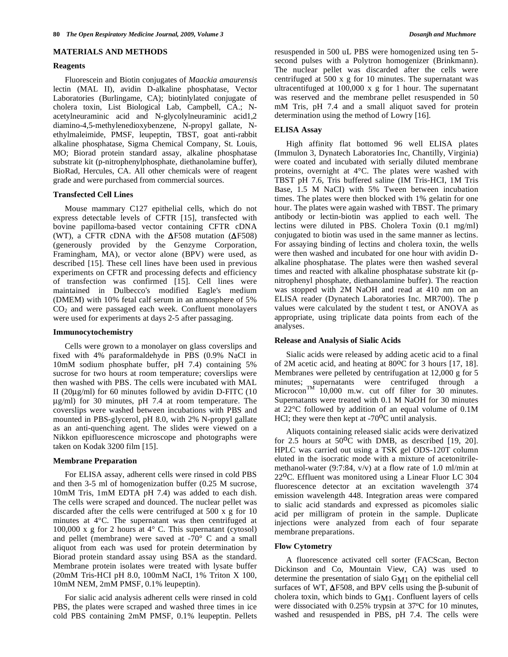#### **MATERIALS AND METHODS**

#### **Reagents**

 Fluorescein and Biotin conjugates of *Maackia amaurensis* lectin (MAL II), avidin D-alkaline phosphatase, Vector Laboratories (Burlingame, CA); biotinlylated conjugate of cholera toxin, List Biological Lab, Campbell, CA.; Nacetylneuraminic acid and N-glycolylneuraminic acid1,2 diamino-4,5-methylenedioxybenzene, N-propyl gallate, Nethylmaleimide, PMSF, leupeptin, TBST, goat anti-rabbit alkaline phosphatase, Sigma Chemical Company, St. Louis, MO; Biorad protein standard assay, alkaline phosphatase substrate kit (p-nitrophenylphosphate, diethanolamine buffer), BioRad, Hercules, CA. All other chemicals were of reagent grade and were purchased from commercial sources.

#### **Transfected Cell Lines**

 Mouse mammary C127 epithelial cells, which do not express detectable levels of CFTR [15], transfected with bovine papilloma-based vector containing CFTR cDNA (WT), a CFTR cDNA with the  $\Delta$ F508 mutation ( $\Delta$ F508) (generously provided by the Genzyme Corporation, Framingham, MA), or vector alone (BPV) were used, as described [15]. These cell lines have been used in previous experiments on CFTR and processing defects and efficiency of transfection was confirmed [15]. Cell lines were maintained in Dulbecco's modified Eagle's medium (DMEM) with 10% fetal calf serum in an atmosphere of 5%  $CO<sub>2</sub>$  and were passaged each week. Confluent monolayers were used for experiments at days 2-5 after passaging.

#### **Immunocytochemistry**

Cells were grown to a monolayer on glass coverslips and fixed with 4% paraformaldehyde in PBS (0.9% NaCI in 10mM sodium phosphate buffer, pH 7.4) containing 5% sucrose for two hours at room temperature; coverslips were then washed with PBS. The cells were incubated with MAL II ( $20\mu$ g/ml) for 60 minutes followed by avidin D-FITC (10) μg/ml) for 30 minutes, pH 7.4 at room temperature. The coverslips were washed between incubations with PBS and mounted in PBS-glycerol, pH 8.0, with 2% N-propyl gallate as an anti-quenching agent. The slides were viewed on a Nikkon epifluorescence microscope and photographs were taken on Kodak 3200 film [15].

#### **Membrane Preparation**

For ELISA assay, adherent cells were rinsed in cold PBS and then 3-5 ml of homogenization buffer (0.25 M sucrose, 10mM Tris, 1mM EDTA pH 7.4) was added to each dish. The cells were scraped and dounced. The nuclear pellet was discarded after the cells were centrifuged at 500 x g for 10 minutes at 4°C. The supernatant was then centrifuged at 100,000 x g for 2 hours at  $4^{\circ}$  C. This supernatant (cytosol) and pellet (membrane) were saved at -70° C and a small aliquot from each was used for protein determination by Biorad protein standard assay using BSA as the standard. Membrane protein isolates were treated with lysate buffer (20mM Tris-HCI pH 8.0, 100mM NaCI, 1% Triton X 100, 10mM NEM, 2mM PMSF, 0.1% leupeptin).

 For sialic acid analysis adherent cells were rinsed in cold PBS, the plates were scraped and washed three times in ice cold PBS containing 2mM PMSF, 0.1% leupeptin. Pellets resuspended in 500 uL PBS were homogenized using ten 5 second pulses with a Polytron homogenizer (Brinkmann). The nuclear pellet was discarded after the cells were centrifuged at 500 x g for 10 minutes. The supernatant was ultracentifuged at 100,000 x g for 1 hour. The supernatant was reserved and the membrane pellet resuspended in 50 mM Tris, pH 7.4 and a small aliquot saved for protein determination using the method of Lowry [16].

## **ELISA Assay**

High affinity flat bottomed 96 well ELISA plates (Immulon 3, Dynatech Laboratories Inc, Chantilly, Virginia) were coated and incubated with serially diluted membrane proteins, overnight at 4°C. The plates were washed with TBST pH 7.6, Tris buffered saline (IM Tris-HCI, 1M Tris Base, 1.5 M NaCI) with 5% Tween between incubation times. The plates were then blocked with 1% gelatin for one hour. The plates were again washed with TBST. The primary antibody or lectin-biotin was applied to each well. The lectins were diluted in PBS. Cholera Toxin (0.1 mg/ml) conjugated to biotin was used in the same manner as lectins. For assaying binding of lectins and cholera toxin, the wells were then washed and incubated for one hour with avidin Dalkaline phosphatase. The plates were then washed several times and reacted with alkaline phosphatase substrate kit (pnitrophenyl phosphate, diethanolamine buffer). The reaction was stopped with 2M NaOH and read at 410 nm on an ELISA reader (Dynatech Laboratories Inc. MR700). The p values were calculated by the student t test, or ANOVA as appropriate, using triplicate data points from each of the analyses.

### **Release and Analysis of Sialic Acids**

 Sialic acids were released by adding acetic acid to a final of 2M acetic acid, and heating at 80oC for 3 hours [17, 18]. Membranes were pelleted by centrifugation at 12,000 g for 5 minutes; supernatants were centrifuged through a Microcon<sup>TM</sup> 10,000 m.w. cut off filter for 30 minutes. Supernatants were treated with 0.1 M NaOH for 30 minutes at 22°C followed by addition of an equal volume of 0.1M HCl; they were then kept at  $-70^{\circ}$ C until analysis.

 Aliquots containing released sialic acids were derivatized for 2.5 hours at  $50^{\circ}$ C with DMB, as described [19, 20]. HPLC was carried out using a TSK gel ODS-120T column eluted in the isocratic mode with a mixture of acetonitrilemethanol-water (9:7:84, v/v) at a flow rate of 1.0 ml/min at 22<sup>o</sup>C. Effluent was monitored using a Linear Fluor LC 304 fluorescence detector at an excitation wavelength 374 emission wavelength 448. Integration areas were compared to sialic acid standards and expressed as picomoles sialic acid per milligram of protein in the sample. Duplicate injections were analyzed from each of four separate membrane preparations.

# **Flow Cytometry**

 A fluorescence activated cell sorter (FACScan, Becton Dickinson and Co, Mountain View, CA) was used to determine the presentation of sialo GM1 on the epithelial cell surfaces of WT,  $\Delta$ F508, and BPV cells using the  $\beta$ -subunit of cholera toxin, which binds to GM1. Confluent layers of cells were dissociated with 0.25% trypsin at 37°C for 10 minutes, washed and resuspended in PBS, pH 7.4. The cells were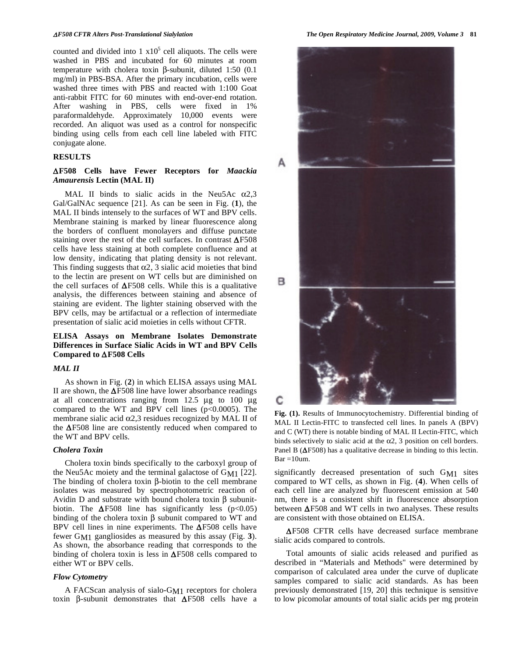counted and divided into 1  $x10^5$  cell aliquots. The cells were washed in PBS and incubated for 60 minutes at room temperature with cholera toxin  $\beta$ -subunit, diluted 1:50 (0.1) mg/ml) in PBS-BSA. After the primary incubation, cells were washed three times with PBS and reacted with 1:100 Goat anti-rabbit FITC for 60 minutes with end-over-end rotation. After washing in PBS, cells were fixed in 1% paraformaldehyde. Approximately 10,000 events were recorded. An aliquot was used as a control for nonspecific binding using cells from each cell line labeled with FITC conjugate alone.

#### **RESULTS**

# **F508 Cells have Fewer Receptors for** *Maackia Amaurensis* **Lectin (MAL II)**

MAL II binds to sialic acids in the Neu5Ac  $\alpha$ 2,3 Gal/GalNAc sequence [21]. As can be seen in Fig. (**1**), the MAL II binds intensely to the surfaces of WT and BPV cells. Membrane staining is marked by linear fluorescence along the borders of confluent monolayers and diffuse punctate staining over the rest of the cell surfaces. In contrast  $\Delta$ F508 cells have less staining at both complete confluence and at low density, indicating that plating density is not relevant. This finding suggests that  $\alpha$ 2, 3 sialic acid moieties that bind to the lectin are present on WT cells but are diminished on the cell surfaces of  $\Delta$ F508 cells. While this is a qualitative analysis, the differences between staining and absence of staining are evident. The lighter staining observed with the BPV cells, may be artifactual or a reflection of intermediate presentation of sialic acid moieties in cells without CFTR.

# **ELISA Assays on Membrane Isolates Demonstrate Differences in Surface Sialic Acids in WT and BPV Cells Compared to F508 Cells**

## *MAL II*

 As shown in Fig. (**2**) in which ELISA assays using MAL II are shown, the  $\Delta$ F508 line have lower absorbance readings at all concentrations ranging from 12.5 μg to 100 μg compared to the WT and BPV cell lines  $(p<0.0005)$ . The membrane sialic acid  $\alpha$ 2,3 residues recognized by MAL II of the  $\Delta$ F508 line are consistently reduced when compared to the WT and BPV cells.

## *Cholera Toxin*

Cholera toxin binds specifically to the carboxyl group of the Neu5Ac moiety and the terminal galactose of  $G_{M1}$  [22]. The binding of cholera toxin  $\beta$ -biotin to the cell membrane isolates was measured by spectrophotometric reaction of Avidin D and substrate with bound cholera toxin  $\beta$  subunitbiotin. The  $\Delta$ F508 line has significantly less (p<0.05) binding of the cholera toxin  $\beta$  subunit compared to WT and BPV cell lines in nine experiments. The  $\Delta$ F508 cells have fewer GM1 gangliosides as measured by this assay (Fig. **3**). As shown, the absorbance reading that corresponds to the binding of cholera toxin is less in  $\Delta$ F508 cells compared to either WT or BPV cells.

#### *Flow Cytometry*

 A FACScan analysis of sialo-GM1 receptors for cholera toxin  $\beta$ -subunit demonstrates that  $\Delta$ F508 cells have a



**Fig. (1).** Results of Immunocytochemistry. Differential binding of MAL II Lectin-FITC to transfected cell lines. In panels A (BPV) and C (WT) there is notable binding of MAL II Lectin-FITC, which binds selectively to sialic acid at the  $\alpha$ 2, 3 position on cell borders. Panel B ( $\Delta$ F508) has a qualitative decrease in binding to this lectin.  $Bar = 10$ um.

significantly decreased presentation of such GM1 sites compared to WT cells, as shown in Fig. (**4**). When cells of each cell line are analyzed by fluorescent emission at 540 nm, there is a consistent shift in fluorescence absorption between  $\Delta$ F508 and WT cells in two analyses. These results are consistent with those obtained on ELISA.

 F508 CFTR cells have decreased surface membrane sialic acids compared to controls.

 Total amounts of sialic acids released and purified as described in "Materials and Methods" were determined by comparison of calculated area under the curve of duplicate samples compared to sialic acid standards. As has been previously demonstrated [19, 20] this technique is sensitive to low picomolar amounts of total sialic acids per mg protein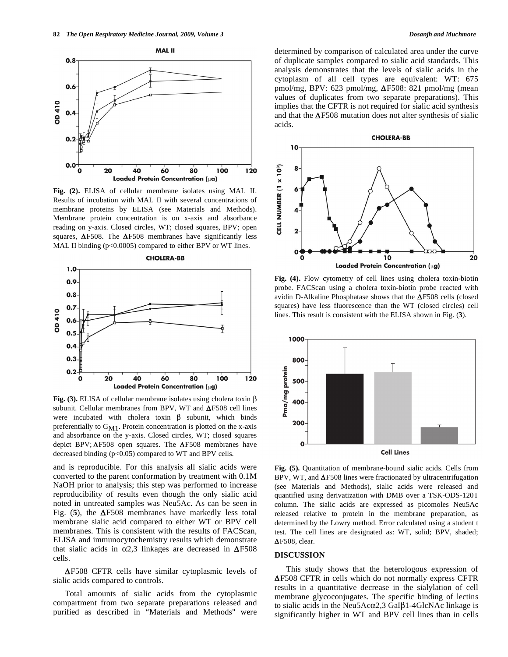

**Fig. (2).** ELISA of cellular membrane isolates using MAL II. Results of incubation with MAL II with several concentrations of membrane proteins by ELISA (see Materials and Methods). Membrane protein concentration is on x-axis and absorbance reading on y-axis. Closed circles, WT; closed squares, BPV; open squares,  $\Delta$ F508. The  $\Delta$ F508 membranes have significantly less MAL II binding (p<0.0005) compared to either BPV or WT lines.



**Fig. (3).** ELISA of cellular membrane isolates using cholera toxin  $\beta$ subunit. Cellular membranes from BPV, WT and  $\Delta$ F508 cell lines were incubated with cholera toxin  $\beta$  subunit, which binds preferentially to  $G_{M1}$ . Protein concentration is plotted on the x-axis and absorbance on the y-axis. Closed circles, WT; closed squares depict BPV;  $\Delta$ F508 open squares. The  $\Delta$ F508 membranes have decreased binding (p<0.05) compared to WT and BPV cells.

and is reproducible. For this analysis all sialic acids were converted to the parent conformation by treatment with 0.1M NaOH prior to analysis; this step was performed to increase reproducibility of results even though the only sialic acid noted in untreated samples was Neu5Ac. As can be seen in Fig. (5), the  $\Delta$ F508 membranes have markedly less total membrane sialic acid compared to either WT or BPV cell membranes. This is consistent with the results of FACScan, ELISA and immunocytochemistry results which demonstrate that sialic acids in  $\alpha$ 2,3 linkages are decreased in  $\Delta$ F508 cells.

 $\Delta$ F508 CFTR cells have similar cytoplasmic levels of sialic acids compared to controls.

 Total amounts of sialic acids from the cytoplasmic compartment from two separate preparations released and purified as described in "Materials and Methods" were determined by comparison of calculated area under the curve of duplicate samples compared to sialic acid standards. This analysis demonstrates that the levels of sialic acids in the cytoplasm of all cell types are equivalent: WT: 675 pmol/mg, BPV: 623 pmol/mg,  $\Delta$ F508: 821 pmol/mg (mean values of duplicates from two separate preparations). This implies that the CFTR is not required for sialic acid synthesis and that the  $\Delta$ F508 mutation does not alter synthesis of sialic acids.



**Fig. (4).** Flow cytometry of cell lines using cholera toxin-biotin probe. FACScan using a cholera toxin-biotin probe reacted with avidin D-Alkaline Phosphatase shows that the  $\Delta$ F508 cells (closed squares) have less fluorescence than the WT (closed circles) cell lines. This result is consistent with the ELISA shown in Fig. (**3**).



Fig. (5). Quantitation of membrane-bound sialic acids. Cells from BPV, WT, and  $\Delta$ F508 lines were fractionated by ultracentrifugation (see Materials and Methods), sialic acids were released and quantified using derivatization with DMB over a TSK-ODS-120T column. The sialic acids are expressed as picomoles Neu5Ac released relative to protein in the membrane preparation, as determined by the Lowry method. Error calculated using a student t test. The cell lines are designated as: WT, solid; BPV, shaded;  $\Delta$ F508, clear.

#### **DISCUSSION**

 This study shows that the heterologous expression of  $\Delta$ F508 CFTR in cells which do not normally express CFTR results in a quantitative decrease in the sialylation of cell membrane glycoconjugates. The specific binding of lectins to sialic acids in the Neu5Ac $\alpha$ 2,3 GaI $\beta$ 1-4GlcNAc linkage is significantly higher in WT and BPV cell lines than in cells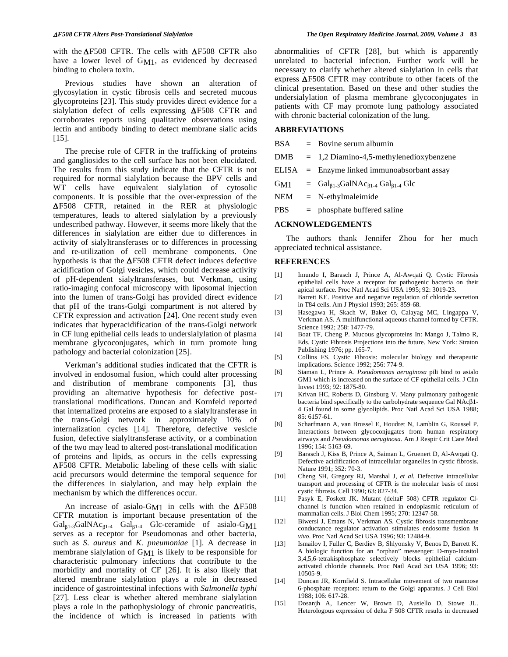with the  $\Delta$ F508 CFTR. The cells with  $\Delta$ F508 CFTR also have a lower level of G<sub>M1</sub>, as evidenced by decreased binding to cholera toxin.

 Previous studies have shown an alteration of glycosylation in cystic fibrosis cells and secreted mucous glycoproteins [23]. This study provides direct evidence for a sialylation defect of cells expressing  $\Delta$ F508 CFTR and corroborates reports using qualitative observations using lectin and antibody binding to detect membrane sialic acids [15].

 The precise role of CFTR in the trafficking of proteins and gangliosides to the cell surface has not been elucidated. The results from this study indicate that the CFTR is not required for normal sialylation because the BPV cells and WT cells have equivalent sialylation of cytosolic components. It is possible that the over-expression of the  $\Delta$ F508 CFTR, retained in the RER at physiologic temperatures, leads to altered sialylation by a previously undescribed pathway. However, it seems more likely that the differences in sialylation are either due to differences in activity of sialyltransferases or to differences in processing and re-utilization of cell membrane components. One hypothesis is that the  $\Delta$ F508 CFTR defect induces defective acidification of Golgi vesicles, which could decrease activity of pH-dependent sialyltransferases, but Verkman, using ratio-imaging confocal microscopy with liposomal injection into the lumen of trans-Golgi has provided direct evidence that pH of the trans-Golgi compartment is not altered by CFTR expression and activation [24]. One recent study even indicates that hyperacidification of the trans-Golgi network in CF lung epithelial cells leads to undersialylation of plasma membrane glycoconjugates, which in turn promote lung pathology and bacterial colonization [25].

 Verkman's additional studies indicated that the CFTR is involved in endosomal fusion, which could alter processing and distribution of membrane components [3], thus providing an alternative hypothesis for defective posttranslational modifications. Duncan and Kornfeld reported that internalized proteins are exposed to a sialyltransferase in the trans-Golgi network in approximately 10% of internalization cycles [14]. Therefore, defective vesicle fusion, defective sialyltransferase activity, or a combination of the two may lead to altered post-translational modification of proteins and lipids, as occurs in the cells expressing  $\Delta$ F508 CFTR. Metabolic labeling of these cells with sialic acid precursors would determine the temporal sequence for the differences in sialylation, and may help explain the mechanism by which the differences occur.

An increase of asialo-G<sub>M1</sub> in cells with the  $\Delta$ F508 CFTR mutation is important because presentation of the  $Gal_{\beta1}$ -3GalNAc<sub> $\beta1$ -4</sub> Gal<sub> $\beta1$ -4</sub> Glc-ceramide of asialo-G<sub>M1</sub> serves as a receptor for Pseudomonas and other bacteria, such as *S. aureus* and *K. pneumoniae* [1]. A decrease in membrane sialylation of GM1 is likely to be responsible for characteristic pulmonary infections that contribute to the morbidity and mortality of CF [26]. It is also likely that altered membrane sialylation plays a role in decreased incidence of gastrointestinal infections with *Salmonella typhi* [27]. Less clear is whether altered membrane sialylation plays a role in the pathophysiology of chronic pancreatitis, the incidence of which is increased in patients with

abnormalities of CFTR [28], but which is apparently unrelated to bacterial infection. Further work will be necessary to clarify whether altered sialylation in cells that express  $\Delta$ F508 CFTR may contribute to other facets of the clinical presentation. Based on these and other studies the undersialylation of plasma membrane glycoconjugates in patients with CF may promote lung pathology associated with chronic bacterial colonization of the lung.

## **ABBREVIATIONS**

| $=$ Bovine serum albumin                      |
|-----------------------------------------------|
| $= 1,2$ Diamino-4,5-methylenedioxybenzene     |
| $ELISA$ = Enzyme linked immunoabsorbant assay |
| $= Gal_{B1-3}GalNAc_{B1-4} Gal_{B1-4} Glc$    |
|                                               |

- NEM = N-ethylmaleimide
- PBS = phosphate buffered saline

## **ACKNOWLEDGEMENTS**

 The authors thank Jennifer Zhou for her much appreciated technical assistance.

#### **REFERENCES**

- [1] Imundo I, Barasch J, Prince A, Al-Awqati Q. Cystic Fibrosis epithelial cells have a receptor for pathogenic bacteria on their apical surface. Proc Natl Acad Sci USA 1995; 92: 3019-23.
- [2] Barrett KE. Positive and negative regulation of chloride secretion in T84 cells. Am J Physiol 1993; 265: 859-68.
- [3] Hasegawa H, Skach W, Baker O, Calayag MC, Lingappa V, Verkman AS. A multifunctional aqueous channel formed by CFTR. Science 1992; 258: 1477-79.
- [4] Boat TF, Cheng P. Mucous glycoproteins In: Mango J, Talmo R, Eds. Cystic Fibrosis Projections into the future. New York: Straton Publishing 1976; pp. 165-7.
- [5] Collins FS. Cystic Fibrosis: molecular biology and therapeutic implications. Science 1992; 256: 774-9.
- [6] Siaman L, Prince A. *Pseudomonas aeruginosa* pili bind to asialo GM1 which is increased on the surface of CF epithelial cells. J Clin Invest 1993; 92: 1875-80.
- [7] Krivan HC, Roberts D, Ginsburg V. Many pulmonary pathogenic bacteria bind specifically to the carbohydrate sequence Gal  $NAc\beta1$ -4 Gal found in some glycolipids. Proc Natl Acad Sci USA 1988; 85: 6157-61.
- [8] Scharfmann A, van Brussel E, Houdret N, Lamblin G, Roussel P. Interactions between glycoconjugates from human respiratory airways and *Pseudomonas aeruginosa*. Am J Respir Crit Care Med 1996; 154: 5163-69.
- [9] Barasch J, Kiss B, Prince A, Saiman L, Gruenert D, Al-Awqati Q. Defective acidification of intracellular organelles in cystic fibrosis. Nature 1991; 352: 70-3.
- [10] Cheng SH, Gregory RJ, Marshal J, *et al.* Defective intracellular transport and processing of CFTR is the molecular basis of most cystic fibrosis. Cell 1990; 63: 827-34.
- [11] Pasyk E, Foskett JK. Mutant (deltaF 508) CFTR regulator Clchannel is function when retained in endoplasmic reticulum of mammalian cells. J Biol Chem 1995; 270: 12347-58.
- [12] Biwersi J, Emans N, Verkman AS. Cystic fibrosis transmembrane conductance regulator activation stimulates endosome fusion *in vivo*. Proc Natl Acad Sci USA 1996; 93: 12484-9.
- [13] Ismailov I, Fuller C, Berdiev B, Shlyonsky V, Benos D, Barrett K. A biologic function for an "orphan" messenger: D-myo-Inositol 3,4,5,6-tetrakisphosphate selectively blocks epithelial calciumactivated chloride channels. Proc Natl Acad Sci USA 1996; 93: 10505-9.
- [14] Duncan JR, Kornfield S. Intracellular movement of two mannose 6-phosphate receptors: return to the Golgi apparatus. J Cell Biol 1988; 106: 617-28.
- [15] Dosanjh A, Lencer W, Brown D, Ausiello D, Stowe JL. Heterologous expression of delta F 508 CFTR results in decreased